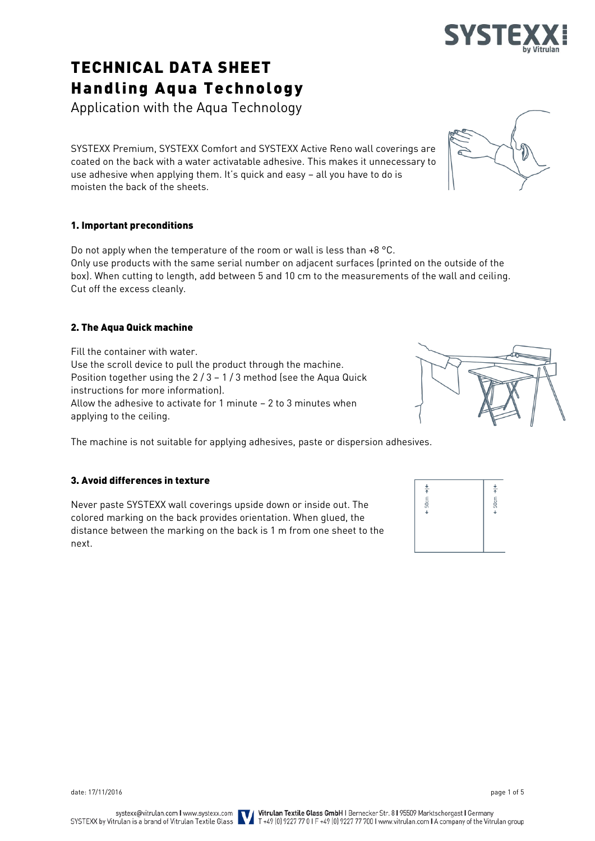# TECHNICAL DATA SHEET Handling Aqua Technology

Application with the Aqua Technology

SYSTEXX Premium, SYSTEXX Comfort and SYSTEXX Active Reno wall coverings are coated on the back with a water activatable adhesive. This makes it unnecessary to use adhesive when applying them. It's quick and easy – all you have to do is moisten the back of the sheets.

# 1. Important preconditions

Do not apply when the temperature of the room or wall is less than +8 °C. Only use products with the same serial number on adjacent surfaces (printed on the outside of the box). When cutting to length, add between 5 and 10 cm to the measurements of the wall and ceiling. Cut off the excess cleanly.

# 2. The Aqua Quick machine

Fill the container with water. Use the scroll device to pull the product through the machine. Position together using the  $2/3 - 1/3$  method (see the Aqua Quick instructions for more information). Allow the adhesive to activate for 1 minute – 2 to 3 minutes when applying to the ceiling.

The machine is not suitable for applying adhesives, paste or dispersion adhesives.

# 3. Avoid differences in texture

Never paste SYSTEXX wall coverings upside down or inside out. The colored marking on the back provides orientation. When glued, the distance between the marking on the back is 1 m from one sheet to the next.

 $\frac{1}{4}$  $\frac{1}{4}$  $50cm$  $50cm$ 



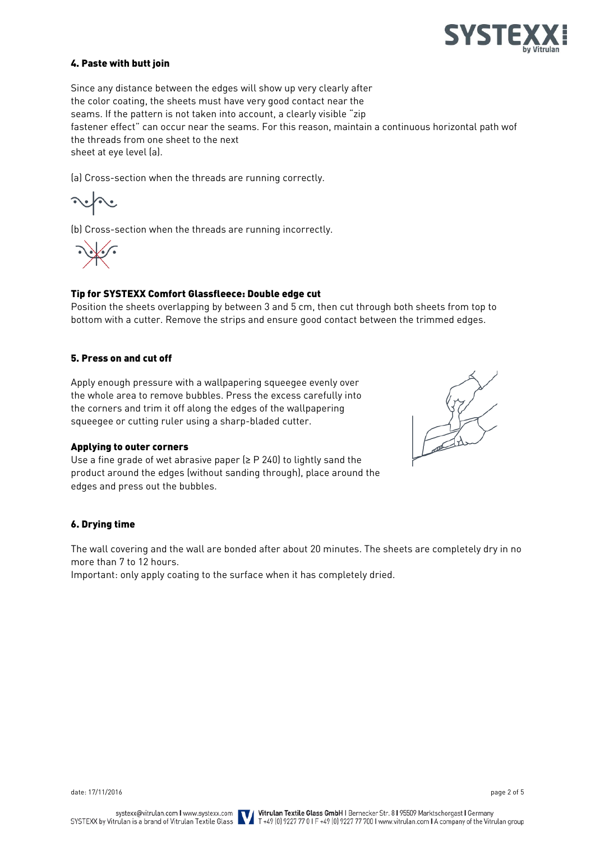

# 4. Paste with butt join

Since any distance between the edges will show up very clearly after the color coating, the sheets must have very good contact near the seams. If the pattern is not taken into account, a clearly visible "zip fastener effect" can occur near the seams. For this reason, maintain a continuous horizontal path wof the threads from one sheet to the next sheet at eye level (a).

(a) Cross-section when the threads are running correctly.

(b) Cross-section when the threads are running incorrectly.

# Tip for SYSTEXX Comfort Glassfleece: Double edge cut

Position the sheets overlapping by between 3 and 5 cm, then cut through both sheets from top to bottom with a cutter. Remove the strips and ensure good contact between the trimmed edges.

#### 5. Press on and cut off

Apply enough pressure with a wallpapering squeegee evenly over the whole area to remove bubbles. Press the excess carefully into the corners and trim it off along the edges of the wallpapering squeegee or cutting ruler using a sharp-bladed cutter.

#### Applying to outer corners

Use a fine grade of wet abrasive paper ( $\geq$  P 240) to lightly sand the product around the edges (without sanding through), place around the edges and press out the bubbles.



#### 6. Drying time

The wall covering and the wall are bonded after about 20 minutes. The sheets are completely dry in no more than 7 to 12 hours.

Important: only apply coating to the surface when it has completely dried.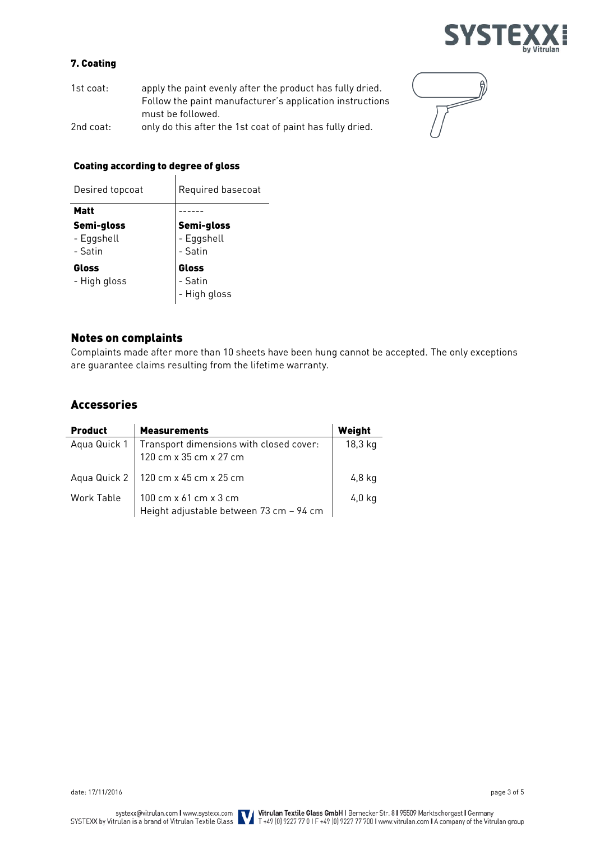

# 7. Coating

| $1st$ coat: | apply the paint evenly after the product has fully dried. |
|-------------|-----------------------------------------------------------|
|             | Follow the paint manufacturer's application instructions  |
|             | must be followed.                                         |
| 2nd coat:   | only do this after the 1st coat of paint has fully dried. |



#### Coating according to degree of gloss  $\overline{\phantom{a}}$

| Desired topcoat                     | Required basecoat                          |  |
|-------------------------------------|--------------------------------------------|--|
| <b>Matt</b>                         |                                            |  |
| Semi-gloss<br>- Eggshell<br>- Satin | <b>Semi-gloss</b><br>- Eggshell<br>- Satin |  |
| Gloss<br>- High gloss               | Gloss<br>-<br>Satin<br>- High gloss        |  |

# Notes on complaints

Complaints made after more than 10 sheets have been hung cannot be accepted. The only exceptions are guarantee claims resulting from the lifetime warranty.

# Accessories

| <b>Product</b> | <b>Measurements</b>                                               | Weight  |
|----------------|-------------------------------------------------------------------|---------|
| Aqua Quick 1   | Transport dimensions with closed cover:<br>120 cm x 35 cm x 27 cm | 18,3 kg |
|                | Aqua Quick 2   120 cm x 45 cm x 25 cm                             | 4,8 kg  |
| Work Table     | 100 cm x 61 cm x 3 cm<br>Height adjustable between 73 cm - 94 cm  | 4,0 kg  |

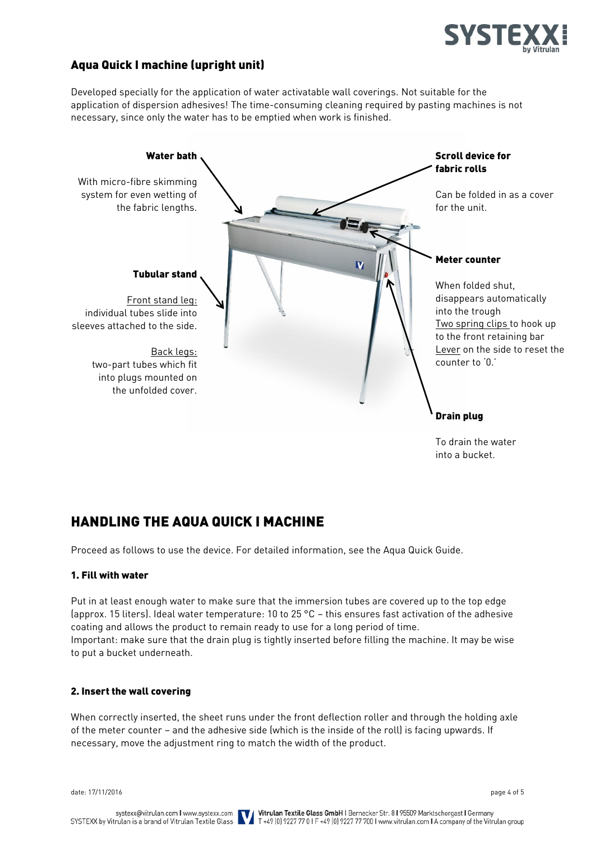

# Aqua Quick I machine (upright unit)

Developed specially for the application of water activatable wall coverings. Not suitable for the application of dispersion adhesives! The time-consuming cleaning required by pasting machines is not necessary, since only the water has to be emptied when work is finished.



To drain the water into a bucket.

# HANDLING THE AQUA QUICK I MACHINE

Proceed as follows to use the device. For detailed information, see the Aqua Quick Guide.

# 1. Fill with water

Put in at least enough water to make sure that the immersion tubes are covered up to the top edge (approx. 15 liters). Ideal water temperature: 10 to 25 °C – this ensures fast activation of the adhesive coating and allows the product to remain ready to use for a long period of time. Important: make sure that the drain plug is tightly inserted before filling the machine. It may be wise to put a bucket underneath.

# 2. Insert the wall covering

When correctly inserted, the sheet runs under the front deflection roller and through the holding axle of the meter counter – and the adhesive side (which is the inside of the roll) is facing upwards. If necessary, move the adjustment ring to match the width of the product.

date: 17/11/2016 page 4 of 5